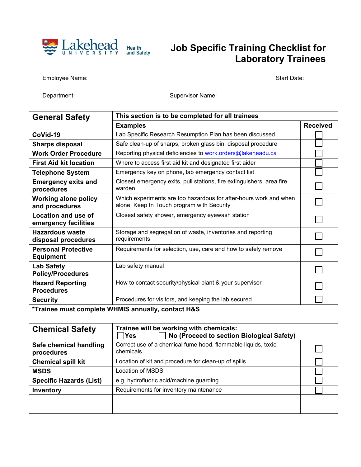

## **Lakehead** Health **Job Specific Training Checklist for Laboratory Trainees**

Employee Name: Start Date: Start Date: Start Date: Start Date: Start Date: Start Date:

Department: Supervisor Name: Supervisor Name:

| <b>General Safety</b>                              | This section is to be completed for all trainees                                                                |                 |  |
|----------------------------------------------------|-----------------------------------------------------------------------------------------------------------------|-----------------|--|
|                                                    | <b>Examples</b>                                                                                                 | <b>Received</b> |  |
| CoVid-19                                           | Lab Specific Research Resumption Plan has been discussed                                                        |                 |  |
| <b>Sharps disposal</b>                             | Safe clean-up of sharps, broken glass bin, disposal procedure                                                   |                 |  |
| <b>Work Order Procedure</b>                        | Reporting physical deficiencies to work.orders@lakeheadu.ca                                                     |                 |  |
| <b>First Aid kit location</b>                      | Where to access first aid kit and designated first aider                                                        |                 |  |
| <b>Telephone System</b>                            | Emergency key on phone, lab emergency contact list                                                              |                 |  |
| <b>Emergency exits and</b><br>procedures           | Closest emergency exits, pull stations, fire extinguishers, area fire<br>warden                                 |                 |  |
| <b>Working alone policy</b><br>and procedures      | Which experiments are too hazardous for after-hours work and when<br>alone, Keep In Touch program with Security |                 |  |
| Location and use of<br>emergency facilities        | Closest safety shower, emergency eyewash station                                                                |                 |  |
| <b>Hazardous waste</b><br>disposal procedures      | Storage and segregation of waste, inventories and reporting<br>requirements                                     |                 |  |
| <b>Personal Protective</b><br><b>Equipment</b>     | Requirements for selection, use, care and how to safely remove                                                  |                 |  |
| <b>Lab Safety</b><br><b>Policy/Procedures</b>      | Lab safety manual                                                                                               |                 |  |
| <b>Hazard Reporting</b><br><b>Procedures</b>       | How to contact security/physical plant & your supervisor                                                        |                 |  |
| <b>Security</b>                                    | Procedures for visitors, and keeping the lab secured                                                            |                 |  |
| *Trainee must complete WHMIS annually, contact H&S |                                                                                                                 |                 |  |
|                                                    |                                                                                                                 |                 |  |

| <b>Chemical Safety</b>               | Trainee will be working with chemicals:<br>No (Proceed to section Biological Safety)<br>Yes |  |
|--------------------------------------|---------------------------------------------------------------------------------------------|--|
| Safe chemical handling<br>procedures | Correct use of a chemical fume hood, flammable liquids, toxic<br>chemicals                  |  |
| <b>Chemical spill kit</b>            | Location of kit and procedure for clean-up of spills                                        |  |
| <b>MSDS</b>                          | Location of MSDS                                                                            |  |
| <b>Specific Hazards (List)</b>       | e.g. hydrofluoric acid/machine guarding                                                     |  |
| Inventory                            | Requirements for inventory maintenance                                                      |  |
|                                      |                                                                                             |  |
|                                      |                                                                                             |  |